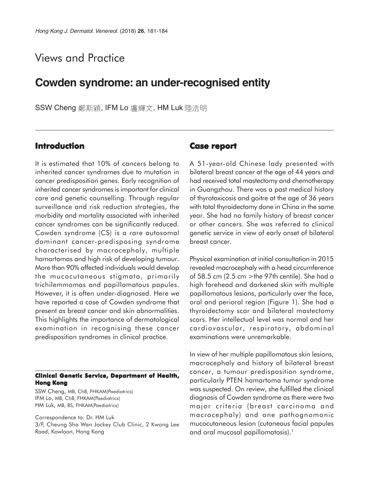# Views and Practice

## **Cowden syndrome: an under-recognised entity**

SSW Cheng 鄭斯穎, IFM Lo 盧輝文, HM Luk 陸浩明

## **Introduction**

It is estimated that 10% of cancers belong to inherited cancer syndromes due to mutation in cancer predisposition genes. Early recognition of inherited cancer syndromes is important for clinical care and genetic counselling. Through regular surveillance and risk reduction strategies, the morbidity and mortality associated with inherited cancer syndromes can be significantly reduced. Cowden syndrome (CS) is a rare autosomal dominant cancer-predisposing syndrome characterised by macrocephaly, multiple hamartomas and high risk of developing tumour. More than 90% affected individuals would develop the mucocutaneous stigmata, primarily trichilemmomas and papillomatous papules. However, it is often under-diagnosed. Here we have reported a case of Cowden syndrome that present as breast cancer and skin abnormalities. This highlights the importance of dermatological examination in recognising these cancer predisposition syndromes in clinical practice.

#### **Clinical Genetic Service, Department of Health, Hong Kong**

SSW Cheng, MB, ChB, FHKAM(Paediatrics) IFM Lo, MB, ChB, FHKAM(Paediatrics) HM Luk, MB, BS, FHKAM(Paediatrics)

Correspondence to: Dr. HM Luk 3/F, Cheung Sha Wan Jockey Club Clinic, 2 Kwong Lee Road, Kowloon, Hong Kong

## **Case report**

A 51-year-old Chinese lady presented with bilateral breast cancer at the age of 44 years and had received total mastectomy and chemotherapy in Guangzhou. There was a past medical history of thyrotoxicosis and goitre at the age of 36 years with total thyroidectomy done in China in the same year. She had no family history of breast cancer or other cancers. She was referred to clinical genetic service in view of early onset of bilateral breast cancer.

Physical examination at initial consultation in 2015 revealed macrocephaly with a head circumference of 58.5 cm  $(2.5 \text{ cm} > \text{the } 97 \text{th}$  centile). She had a high forehead and darkened skin with multiple papillomatous lesions, particularly over the face, oral and perioral region (Figure 1). She had a thyroidectomy scar and bilateral mastectomy scars. Her intellectual level was normal and her cardiovascular, respiratory, abdominal examinations were unremarkable.

In view of her multiple papillomatous skin lesions, macrocephaly and history of bilateral breast cancer, a tumour predisposition syndrome, particularly PTEN hamartoma tumor syndrome was suspected. On review, she fulfilled the clinical diagnosis of Cowden syndrome as there were two major criteria (breast carcinoma and macrocephaly) and one pathognomonic mucocutaneous lesion (cutaneous facial papules and oral mucosal papillomatosis).<sup>1</sup>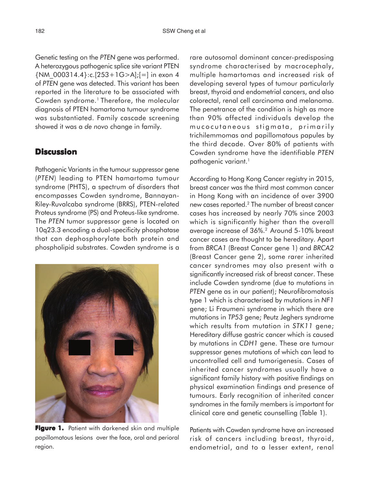Genetic testing on the *PTEN* gene was performed. A heterozygous pathogenic splice site variant PTEN {NM\_000314.4}:c.[253+1G>A];[=] in exon 4 of *PTEN* gene was detected. This variant has been reported in the literature to be associated with Cowden syndrome.<sup>1</sup> Therefore, the molecular diagnosis of PTEN hamartoma tumour syndrome was substantiated. Family cascade screening showed it was a *de novo* change in family.

## **Discussion**

Pathogenic Variants in the tumour suppressor gene (*PTEN*) leading to PTEN hamartoma tumour syndrome (PHTS), a spectrum of disorders that encompasses Cowden syndrome, Bannayan-Riley-Ruvalcaba syndrome (BRRS), PTEN-related Proteus syndrome (PS) and Proteus-like syndrome. The *PTEN* tumor suppressor gene is located on 10q23.3 encoding a dual-specificity phosphatase that can dephosphorylate both protein and phospholipid substrates. Cowden syndrome is a



Figure 1. Patient with darkened skin and multiple papillomatous lesions over the face, oral and perioral region.

rare autosomal dominant cancer-predisposing syndrome characterised by macrocephaly, multiple hamartomas and increased risk of developing several types of tumour particularly breast, thyroid and endometrial cancers, and also colorectal, renal cell carcinoma and melanoma. The penetrance of the condition is high as more than 90% affected individuals develop the mucocutaneous stigmata, primarily trichilemmomas and papillomatous papules by the third decade. Over 80% of patients with Cowden syndrome have the identifiable *PTEN* pathogenic variant.<sup>1</sup>

According to Hong Kong Cancer registry in 2015, breast cancer was the third most common cancer in Hong Kong with an incidence of over 3900 new cases reported.2 The number of breast cancer cases has increased by nearly 70% since 2003 which is significantly higher than the overall average increase of 36%.2 Around 5-10% breast cancer cases are thought to be hereditary. Apart from *BRCA1* (Breast Cancer gene 1) and *BRCA2* (Breast Cancer gene 2), some rarer inherited cancer syndromes may also present with a significantly increased risk of breast cancer. These include Cowden syndrome (due to mutations in *PTEN* gene as in our patient); Neurofibromatosis type 1 which is characterised by mutations in *NF1* gene; Li Fraumeni syndrome in which there are mutations in *TP53* gene; Peutz Jeghers syndrome which results from mutation in *STK11* gene; Hereditary diffuse gastric cancer which is caused by mutations in *CDH1* gene. These are tumour suppressor genes mutations of which can lead to uncontrolled cell and tumorigenesis. Cases of inherited cancer syndromes usually have a significant family history with positive findings on physical examination findings and presence of tumours. Early recognition of inherited cancer syndromes in the family members is important for clinical care and genetic counselling (Table 1).

Patients with Cowden syndrome have an increased risk of cancers including breast, thyroid, endometrial, and to a lesser extent, renal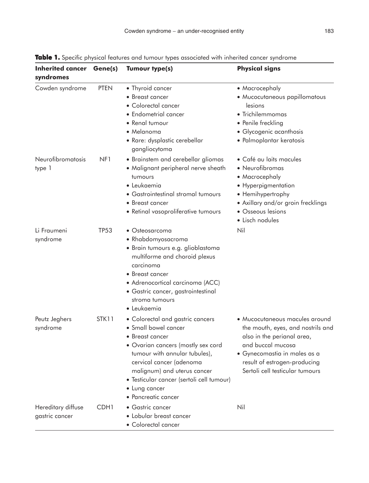| <b>Inherited cancer Gene(s)</b><br>syndromes |                  | <b>Tumour type(s)</b>                                                                                                                                                                                                                                                                                      | <b>Physical signs</b>                                                                                                                                                                                                     |
|----------------------------------------------|------------------|------------------------------------------------------------------------------------------------------------------------------------------------------------------------------------------------------------------------------------------------------------------------------------------------------------|---------------------------------------------------------------------------------------------------------------------------------------------------------------------------------------------------------------------------|
| Cowden syndrome                              | <b>PTEN</b>      | • Thyroid cancer<br>• Breast cancer<br>• Colorectal cancer<br>• Endometrial cancer<br>• Renal tumour<br>• Melanoma<br>· Rare: dysplastic cerebellar<br>gangliocytoma                                                                                                                                       | • Macrocephaly<br>• Mucocutaneous papillomatous<br>lesions<br>• Trichilemmomas<br>• Penile freckling<br>• Glycogenic acanthosis<br>• Palmoplantar keratosis                                                               |
| Neurofibromatosis<br>type 1                  | NF <sub>1</sub>  | • Brainstem and cerebellar gliomas<br>• Malignant peripheral nerve sheath<br>tumours<br>· Leukaemia<br>• Gastrointestinal stromal tumours<br>• Breast cancer<br>• Retinal vasoproliferative tumours                                                                                                        | · Café au laits macules<br>· Neurofibromas<br>• Macrocephaly<br>• Hyperpigmentation<br>• Hemihypertrophy<br>• Axillary and/or groin frecklings<br>• Osseous lesions<br>• Lisch nodules                                    |
| Li Fraumeni<br>syndrome                      | TP53             | • Osteosarcoma<br>• Rhabdomyosacroma<br>· Brain tumours e.g. glioblastoma<br>multiforme and choroid plexus<br>carcinoma<br>• Breast cancer<br>· Adrenocortical carcinoma (ACC)<br>· Gastric cancer, gastrointestinal<br>stroma tumours<br>· Leukaemia                                                      | Nil                                                                                                                                                                                                                       |
| Peutz Jeghers<br>syndrome                    | STK11            | • Colorectal and gastric cancers<br>• Small bowel cancer<br>$\bullet$ Breast cancer<br>• Ovarian cancers (mostly sex cord<br>tumour with annular tubules),<br>cervical cancer (adenoma<br>malignum) and uterus cancer<br>· Testicular cancer (sertoli cell tumour)<br>• Lung cancer<br>• Pancreatic cancer | • Mucocutaneous macules around<br>the mouth, eyes, and nostrils and<br>also in the perianal area,<br>and buccal mucosa<br>· Gynecomastia in males as a<br>result of estrogen-producing<br>Sertoli cell testicular tumours |
| Hereditary diffuse<br>gastric cancer         | CDH <sub>1</sub> | • Gastric cancer<br>• Lobular breast cancer<br>• Colorectal cancer                                                                                                                                                                                                                                         | Nil                                                                                                                                                                                                                       |

Table 1. Specific physical features and tumour types associated with inherited cancer syndrome